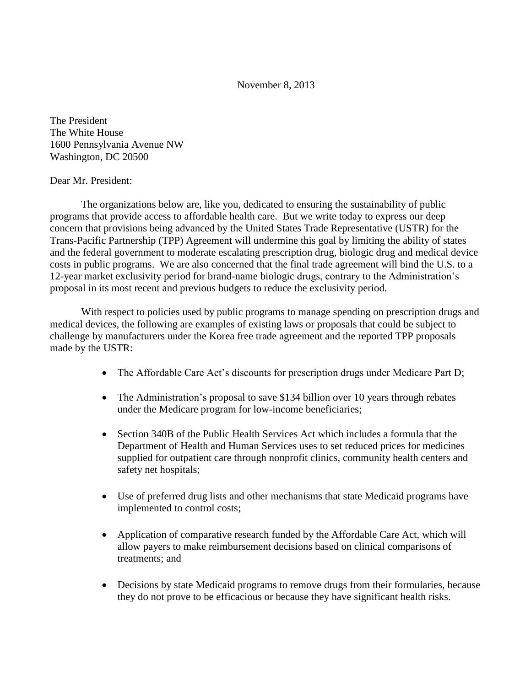November 8, 2013

The President The White House 1600 Pennsylvania Avenue NW Washington, DC 20500

## Dear Mr. President:

The organizations below are, like you, dedicated to ensuring the sustainability of public programs that provide access to affordable health care. But we write today to express our deep concern that provisions being advanced by the United States Trade Representative (USTR) for the Trans-Pacific Partnership (TPP) Agreement will undermine this goal by limiting the ability of states and the federal government to moderate escalating prescription drug, biologic drug and medical device costs in public programs. We are also concerned that the final trade agreement will bind the U.S. to a 12-year market exclusivity period for brand-name biologic drugs, contrary to the Administration's proposal in its most recent and previous budgets to reduce the exclusivity period.

With respect to policies used by public programs to manage spending on prescription drugs and medical devices, the following are examples of existing laws or proposals that could be subject to challenge by manufacturers under the Korea free trade agreement and the reported TPP proposals made by the USTR:

- The Affordable Care Act's discounts for prescription drugs under Medicare Part D;
- The Administration's proposal to save \$134 billion over 10 years through rebates under the Medicare program for low-income beneficiaries;
- Section 340B of the Public Health Services Act which includes a formula that the Department of Health and Human Services uses to set reduced prices for medicines supplied for outpatient care through nonprofit clinics, community health centers and safety net hospitals;
- Use of preferred drug lists and other mechanisms that state Medicaid programs have implemented to control costs;
- Application of comparative research funded by the Affordable Care Act, which will allow payers to make reimbursement decisions based on clinical comparisons of treatments; and
- Decisions by state Medicaid programs to remove drugs from their formularies, because they do not prove to be efficacious or because they have significant health risks.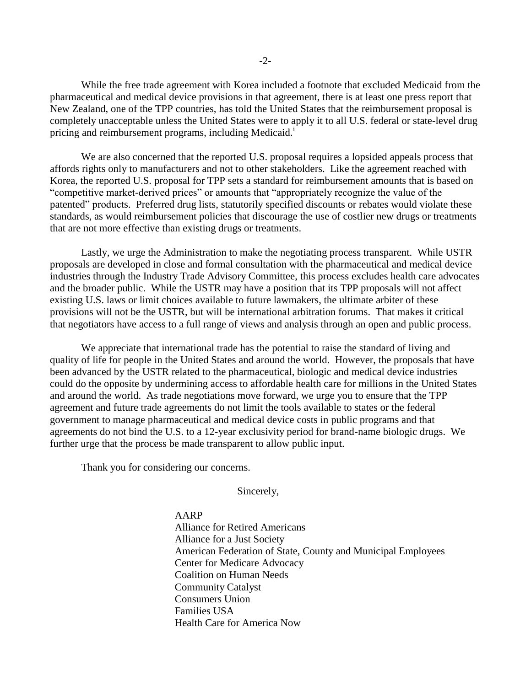While the free trade agreement with Korea included a footnote that excluded Medicaid from the pharmaceutical and medical device provisions in that agreement, there is at least one press report that New Zealand, one of the TPP countries, has told the United States that the reimbursement proposal is completely unacceptable unless the United States were to apply it to all U.S. federal or state-level drug pricing and reimbursement programs, including Medicaid.<sup>1</sup>

We are also concerned that the reported U.S. proposal requires a lopsided appeals process that affords rights only to manufacturers and not to other stakeholders. Like the agreement reached with Korea, the reported U.S. proposal for TPP sets a standard for reimbursement amounts that is based on "competitive market-derived prices" or amounts that "appropriately recognize the value of the patented" products. Preferred drug lists, statutorily specified discounts or rebates would violate these standards, as would reimbursement policies that discourage the use of costlier new drugs or treatments that are not more effective than existing drugs or treatments.

Lastly, we urge the Administration to make the negotiating process transparent. While USTR proposals are developed in close and formal consultation with the pharmaceutical and medical device industries through the Industry Trade Advisory Committee, this process excludes health care advocates and the broader public. While the USTR may have a position that its TPP proposals will not affect existing U.S. laws or limit choices available to future lawmakers, the ultimate arbiter of these provisions will not be the USTR, but will be international arbitration forums. That makes it critical that negotiators have access to a full range of views and analysis through an open and public process.

We appreciate that international trade has the potential to raise the standard of living and quality of life for people in the United States and around the world. However, the proposals that have been advanced by the USTR related to the pharmaceutical, biologic and medical device industries could do the opposite by undermining access to affordable health care for millions in the United States and around the world. As trade negotiations move forward, we urge you to ensure that the TPP agreement and future trade agreements do not limit the tools available to states or the federal government to manage pharmaceutical and medical device costs in public programs and that agreements do not bind the U.S. to a 12-year exclusivity period for brand-name biologic drugs. We further urge that the process be made transparent to allow public input.

Thank you for considering our concerns.

Sincerely,

AARP

Alliance for Retired Americans Alliance for a Just Society American Federation of State, County and Municipal Employees Center for Medicare Advocacy Coalition on Human Needs Community Catalyst Consumers Union Families USA Health Care for America Now